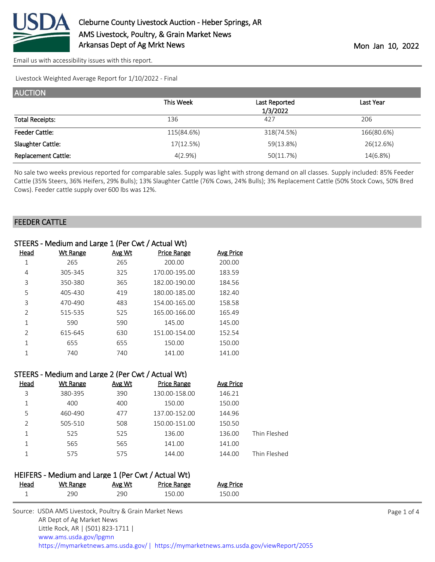

[Email us with accessibility issues with this report.](mailto:mars@ams.usda.gov?subject=508%20issue)

Livestock Weighted Average Report for 1/10/2022 - Final

| <b>AUCTION</b>             |            |               |            |
|----------------------------|------------|---------------|------------|
|                            | This Week  | Last Reported | Last Year  |
|                            |            | 1/3/2022      |            |
| <b>Total Receipts:</b>     | 136        | 427           | 206        |
| <b>Feeder Cattle:</b>      | 115(84.6%) | 318(74.5%)    | 166(80.6%) |
| Slaughter Cattle:          | 17(12.5%)  | 59(13.8%)     | 26(12.6%)  |
| <b>Replacement Cattle:</b> | 4(2.9%)    | 50(11.7%)     | 14(6.8%)   |

No sale two weeks previous reported for comparable sales. Supply was light with strong demand on all classes. Supply included: 85% Feeder Cattle (35% Steers, 36% Heifers, 29% Bulls); 13% Slaughter Cattle (76% Cows, 24% Bulls); 3% Replacement Cattle (50% Stock Cows, 50% Bred Cows). Feeder cattle supply over 600 lbs was 12%.

#### FEEDER CATTLE

| STEERS - Medium and Large 1 (Per Cwt / Actual Wt) |          |        |                    |           |  |
|---------------------------------------------------|----------|--------|--------------------|-----------|--|
| Head                                              | Wt Range | Avg Wt | <b>Price Range</b> | Avg Price |  |
| 1                                                 | 265      | 265    | 200.00             | 200.00    |  |
| 4                                                 | 305-345  | 325    | 170.00-195.00      | 183.59    |  |
| 3                                                 | 350-380  | 365    | 182.00-190.00      | 184.56    |  |
| 5                                                 | 405-430  | 419    | 180.00-185.00      | 182.40    |  |
| 3                                                 | 470-490  | 483    | 154.00-165.00      | 158.58    |  |
| $\overline{2}$                                    | 515-535  | 525    | 165.00-166.00      | 165.49    |  |
| 1                                                 | 590      | 590    | 145.00             | 145.00    |  |
| $\mathfrak{D}$                                    | 615-645  | 630    | 151.00-154.00      | 152.54    |  |
| 1                                                 | 655      | 655    | 150.00             | 150.00    |  |
|                                                   | 740      | 740    | 141.00             | 141.00    |  |
|                                                   |          |        |                    |           |  |

| STEERS - Medium and Large 2 (Per Cwt / Actual Wt) |          |        |                    |                  |              |  |
|---------------------------------------------------|----------|--------|--------------------|------------------|--------------|--|
| Head                                              | Wt Range | Avg Wt | <b>Price Range</b> | <b>Avg Price</b> |              |  |
| 3                                                 | 380-395  | 390    | 130.00-158.00      | 146.21           |              |  |
|                                                   | 400      | 400    | 150.00             | 150.00           |              |  |
| 5                                                 | 460-490  | 477    | 137.00-152.00      | 144.96           |              |  |
| 2                                                 | 505-510  | 508    | 150.00-151.00      | 150.50           |              |  |
|                                                   | 525      | 525    | 136.00             | 136.00           | Thin Fleshed |  |
|                                                   | 565      | 565    | 141.00             | 141.00           |              |  |
|                                                   | 575      | 575    | 144.00             | 144.00           | Thin Fleshed |  |

## HEIFERS - Medium and Large 1 (Per Cwt / Actual Wt)

| Head | <u>Wt Range</u> | <b>Avg Wt</b> | <b>Price Range</b> | <b>Avg Price</b> |
|------|-----------------|---------------|--------------------|------------------|
|      | 290             | 290           | 150.00             | 150.00           |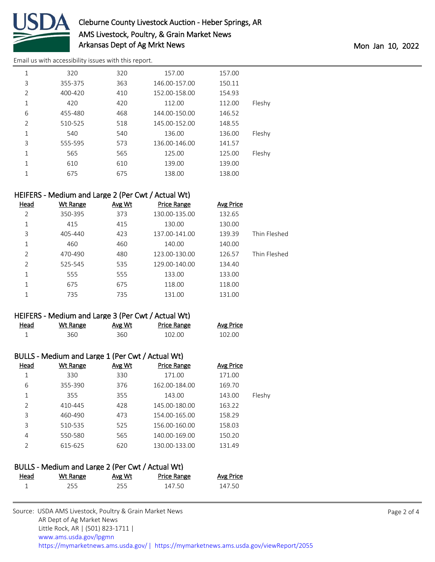

# Cleburne County Livestock Auction - Heber Springs, AR AMS Livestock, Poultry, & Grain Market News Arkansas Dept of Ag Mrkt News and the Montage of Age Mon Jan 10, 2022

[Email us with accessibility issues with this report.](mailto:mars@ams.usda.gov?subject=508%20issue)

| 1              | 320     | 320 | 157.00        | 157.00 |        |
|----------------|---------|-----|---------------|--------|--------|
| 3              | 355-375 | 363 | 146.00-157.00 | 150.11 |        |
| $\overline{2}$ | 400-420 | 410 | 152.00-158.00 | 154.93 |        |
| 1              | 420     | 420 | 112.00        | 112.00 | Fleshy |
| 6              | 455-480 | 468 | 144.00-150.00 | 146.52 |        |
| $\overline{2}$ | 510-525 | 518 | 145.00-152.00 | 148.55 |        |
| 1              | 540     | 540 | 136.00        | 136.00 | Fleshy |
| 3              | 555-595 | 573 | 136.00-146.00 | 141.57 |        |
| 1              | 565     | 565 | 125.00        | 125.00 | Fleshy |
| 1              | 610     | 610 | 139.00        | 139.00 |        |
| 1              | 675     | 675 | 138.00        | 138.00 |        |

### HEIFERS - Medium and Large 2 (Per Cwt / Actual Wt)

| Head           | <b>Wt Range</b> | Avg Wt | <b>Price Range</b> | <b>Avg Price</b> |              |
|----------------|-----------------|--------|--------------------|------------------|--------------|
| 2              | 350-395         | 373    | 130.00-135.00      | 132.65           |              |
| 1              | 415             | 415    | 130.00             | 130.00           |              |
| 3              | 405-440         | 423    | 137.00-141.00      | 139.39           | Thin Fleshed |
| 1              | 460             | 460    | 140.00             | 140.00           |              |
| $\overline{2}$ | 470-490         | 480    | 123.00-130.00      | 126.57           | Thin Fleshed |
| 2              | 525-545         | 535    | 129.00-140.00      | 134.40           |              |
| 1              | 555             | 555    | 133.00             | 133.00           |              |
| 1              | 675             | 675    | 118.00             | 118.00           |              |
| 1              | 735             | 735    | 131.00             | 131.00           |              |
|                |                 |        |                    |                  |              |

### HEIFERS - Medium and Large 3 (Per Cwt / Actual Wt)

| Head | Wt Range | Avg Wt | Price Range | <b>Avg Price</b> |
|------|----------|--------|-------------|------------------|
|      | 360      | 360    | 102.00      | 102.00           |

# BULLS - Medium and Large 1 (Per Cwt / Actual Wt)

| Head          | Wt Range | Avg Wt | <b>Price Range</b> | <b>Avg Price</b> |        |
|---------------|----------|--------|--------------------|------------------|--------|
| 1             | 330      | 330    | 171.00             | 171.00           |        |
| 6             | 355-390  | 376    | 162.00-184.00      | 169.70           |        |
| 1             | 355      | 355    | 143.00             | 143.00           | Fleshy |
| 2             | 410-445  | 428    | 145.00-180.00      | 163.22           |        |
| 3             | 460-490  | 473    | 154.00-165.00      | 158.29           |        |
| 3             | 510-535  | 525    | 156.00-160.00      | 158.03           |        |
| 4             | 550-580  | 565    | 140.00-169.00      | 150.20           |        |
| $\mathcal{P}$ | 615-625  | 620    | 130.00-133.00      | 131.49           |        |
|               |          |        |                    |                  |        |

### BULLS - Medium and Large 2 (Per Cwt / Actual Wt)

| Head | Wt Range | Avg Wt | Price Range | <b>Avg Price</b> |
|------|----------|--------|-------------|------------------|
|      | 255      | 255    | 147.50      | 147.50           |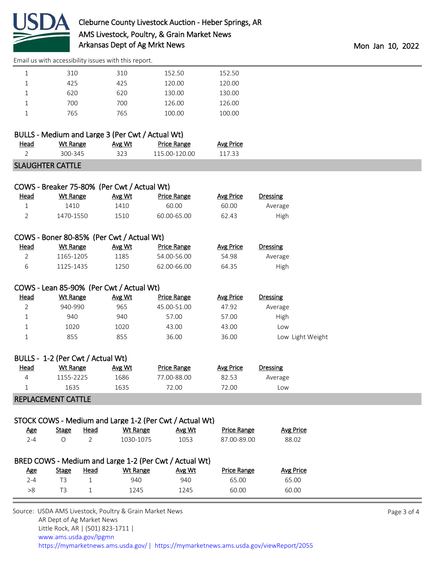

|  |  | Email us with accessibility issues with this report. |  |  |  |
|--|--|------------------------------------------------------|--|--|--|
|--|--|------------------------------------------------------|--|--|--|

| . | .       | .         | .             | . |
|---|---------|-----------|---------------|---|
|   | 300-345 | ົ່<br>--- | 115.00-120.00 | . |

### SLAUGHTER CATTLE

| COWS - Breaker 75-80% (Per Cwt / Actual Wt) |                                          |        |                    |                  |                  |  |  |  |  |
|---------------------------------------------|------------------------------------------|--------|--------------------|------------------|------------------|--|--|--|--|
| Head                                        | <b>Wt Range</b>                          | Avg Wt | <b>Price Range</b> | <b>Avg Price</b> | <b>Dressing</b>  |  |  |  |  |
| 1                                           | 1410                                     | 1410   | 60.00              | 60.00            | Average          |  |  |  |  |
| $\overline{2}$                              | 1470-1550                                | 1510   | 60.00-65.00        | 62.43            | High             |  |  |  |  |
| COWS - Boner 80-85% (Per Cwt / Actual Wt)   |                                          |        |                    |                  |                  |  |  |  |  |
| <u>Head</u>                                 | Wt Range                                 | Avg Wt | <b>Price Range</b> | <b>Avg Price</b> | <b>Dressing</b>  |  |  |  |  |
| $\overline{2}$                              | 1165-1205                                | 1185   | 54.00-56.00        | 54.98            | Average          |  |  |  |  |
| 6                                           | 1125-1435                                | 1250   | 62.00-66.00        | 64.35            | High             |  |  |  |  |
|                                             | COWS - Lean 85-90% (Per Cwt / Actual Wt) |        |                    |                  |                  |  |  |  |  |
| Head                                        | <b>Wt Range</b>                          | Avg Wt | <b>Price Range</b> | <b>Avg Price</b> | <b>Dressing</b>  |  |  |  |  |
| $\overline{2}$                              | 940-990                                  | 965    | 45.00-51.00        | 47.92            | Average          |  |  |  |  |
| 1                                           | 940                                      | 940    | 57.00              | 57.00            | High             |  |  |  |  |
| 1                                           | 1020                                     | 1020   | 43.00              | 43.00            | Low              |  |  |  |  |
|                                             | 855                                      | 855    | 36.00              | 36.00            | Low Light Weight |  |  |  |  |

| <u>Head</u> | Wt Range | Avg Wt | <b>Price Range</b> | Avg Price | Dressing   |
|-------------|----------|--------|--------------------|-----------|------------|
|             | 155-2225 | 1686   | 77.00-88.00        | 32.53     | Average    |
|             | 1635     | 1635   | 72.00              | 2.00      | <b>LOW</b> |
|             |          |        |                    |           |            |

#### REPLACEMENT CATTLE

### STOCK COWS - Medium and Large 1-2 (Per Cwt / Actual Wt)

| <u>Age</u>                                             | Stage | Head | Wt Range  | Avg Wt | <b>Price Range</b> | Avg Price |  |  |  |
|--------------------------------------------------------|-------|------|-----------|--------|--------------------|-----------|--|--|--|
| $2 - 4$                                                | O     |      | 1030-1075 | 1053   | 87.00-89.00        | 88.02     |  |  |  |
|                                                        |       |      |           |        |                    |           |  |  |  |
| BRED COWS - Medium and Large 1-2 (Per Cwt / Actual Wt) |       |      |           |        |                    |           |  |  |  |
| <u>Age</u>                                             | Stage | Head | Wt Range  | Avg Wt | <b>Price Range</b> | Avg Price |  |  |  |
| $2 - 4$                                                | TЗ    |      | 940       | 940    | 65.00              | 65.00     |  |  |  |
| >8                                                     | TЗ    |      | 1245      | 1245   | 60.00              | 60.00     |  |  |  |